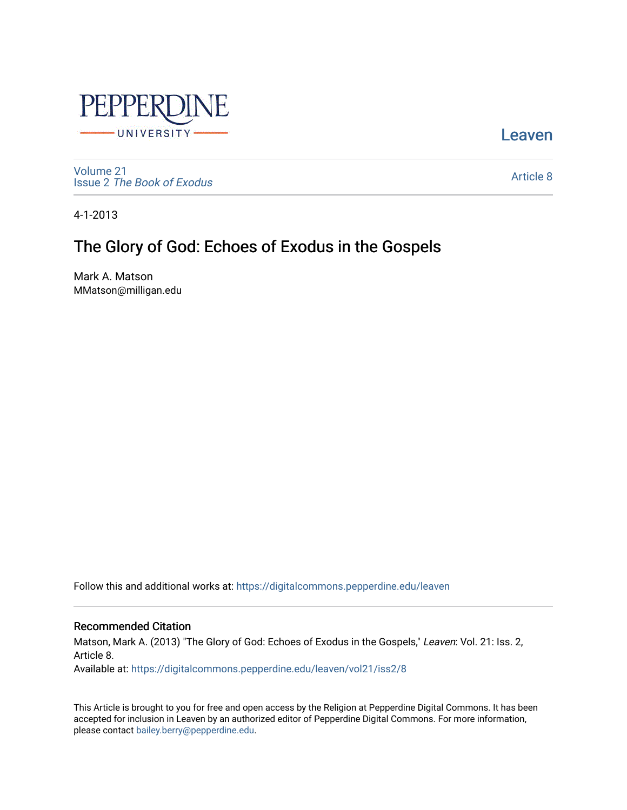

[Leaven](https://digitalcommons.pepperdine.edu/leaven) 

[Volume 21](https://digitalcommons.pepperdine.edu/leaven/vol21) Issue 2 [The Book of Exodus](https://digitalcommons.pepperdine.edu/leaven/vol21/iss2)

[Article 8](https://digitalcommons.pepperdine.edu/leaven/vol21/iss2/8) 

4-1-2013

# The Glory of God: Echoes of Exodus in the Gospels

Mark A. Matson MMatson@milligan.edu

Follow this and additional works at: [https://digitalcommons.pepperdine.edu/leaven](https://digitalcommons.pepperdine.edu/leaven?utm_source=digitalcommons.pepperdine.edu%2Fleaven%2Fvol21%2Fiss2%2F8&utm_medium=PDF&utm_campaign=PDFCoverPages)

### Recommended Citation

Matson, Mark A. (2013) "The Glory of God: Echoes of Exodus in the Gospels," Leaven: Vol. 21: Iss. 2, Article 8.

Available at: [https://digitalcommons.pepperdine.edu/leaven/vol21/iss2/8](https://digitalcommons.pepperdine.edu/leaven/vol21/iss2/8?utm_source=digitalcommons.pepperdine.edu%2Fleaven%2Fvol21%2Fiss2%2F8&utm_medium=PDF&utm_campaign=PDFCoverPages)

This Article is brought to you for free and open access by the Religion at Pepperdine Digital Commons. It has been accepted for inclusion in Leaven by an authorized editor of Pepperdine Digital Commons. For more information, please contact [bailey.berry@pepperdine.edu](mailto:bailey.berry@pepperdine.edu).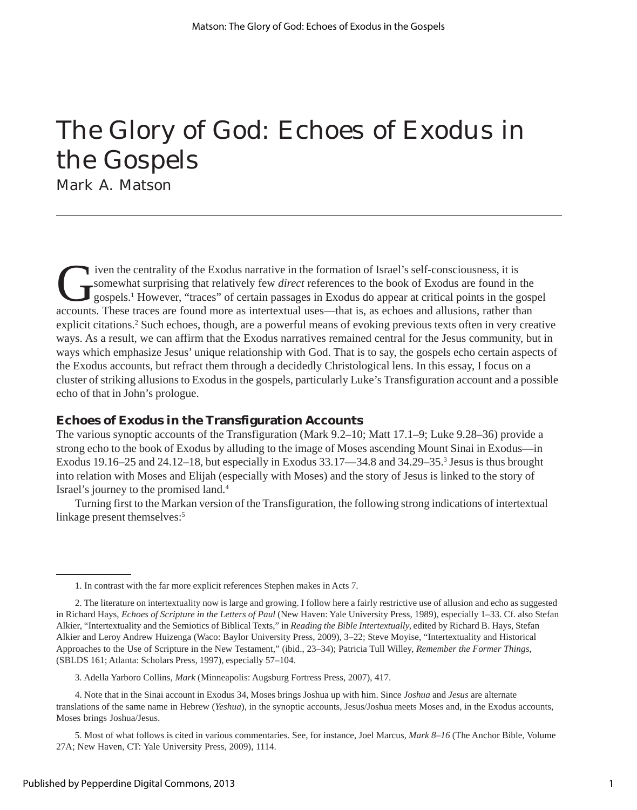# The Glory of God: Echoes of Exodus in the Gospels

Mark A. Matson

I ven the centrality of the Exodus narrative in the formation of Israel's self-consciousness, it is<br>
Somewhat surprising that relatively few *direct* references to the book of Exodus are found in<br>
gospels.<sup>1</sup> However, "tra somewhat surprising that relatively few *direct* references to the book of Exodus are found in the gospels.1 However, "traces" of certain passages in Exodus do appear at critical points in the gospel accounts. These traces are found more as intertextual uses—that is, as echoes and allusions, rather than explicit citations.<sup>2</sup> Such echoes, though, are a powerful means of evoking previous texts often in very creative ways. As a result, we can affirm that the Exodus narratives remained central for the Jesus community, but in ways which emphasize Jesus' unique relationship with God. That is to say, the gospels echo certain aspects of the Exodus accounts, but refract them through a decidedly Christological lens. In this essay, I focus on a cluster of striking allusions to Exodus in the gospels, particularly Luke's Transfiguration account and a possible echo of that in John's prologue.

## **Echoes of Exodus in the Transfiguration Accounts**

The various synoptic accounts of the Transfiguration (Mark 9.2–10; Matt 17.1–9; Luke 9.28–36) provide a strong echo to the book of Exodus by alluding to the image of Moses ascending Mount Sinai in Exodus—in Exodus 19.16–25 and 24.12–18, but especially in Exodus 33.17–34.8 and 34.29–35.<sup>3</sup> Jesus is thus brought into relation with Moses and Elijah (especially with Moses) and the story of Jesus is linked to the story of Israel's journey to the promised land.4

Turning first to the Markan version of the Transfiguration, the following strong indications of intertextual linkage present themselves:<sup>5</sup>

<sup>1.</sup> In contrast with the far more explicit references Stephen makes in Acts 7.

<sup>2.</sup> The literature on intertextuality now is large and growing. I follow here a fairly restrictive use of allusion and echo as suggested in Richard Hays, *Echoes of Scripture in the Letters of Paul* (New Haven: Yale University Press, 1989), especially 1–33. Cf. also Stefan Alkier, "Intertextuality and the Semiotics of Biblical Texts," in *Reading the Bible Intertextually,* edited by Richard B. Hays, Stefan Alkier and Leroy Andrew Huizenga (Waco: Baylor University Press, 2009), 3–22; Steve Moyise, "Intertextuality and Historical Approaches to the Use of Scripture in the New Testament," (ibid., 23–34); Patricia Tull Willey, *Remember the Former Things*, (SBLDS 161; Atlanta: Scholars Press, 1997), especially 57–104.

<sup>3.</sup> Adella Yarboro Collins, *Mark* (Minneapolis: Augsburg Fortress Press, 2007), 417.

<sup>4.</sup> Note that in the Sinai account in Exodus 34, Moses brings Joshua up with him. Since *Joshua* and *Jesus* are alternate translations of the same name in Hebrew (*Yeshua*), in the synoptic accounts, Jesus/Joshua meets Moses and, in the Exodus accounts, Moses brings Joshua/Jesus.

<sup>5.</sup> Most of what follows is cited in various commentaries. See, for instance, Joel Marcus, *Mark 8–16* (The Anchor Bible, Volume 27A; New Haven, CT: Yale University Press, 2009), 1114.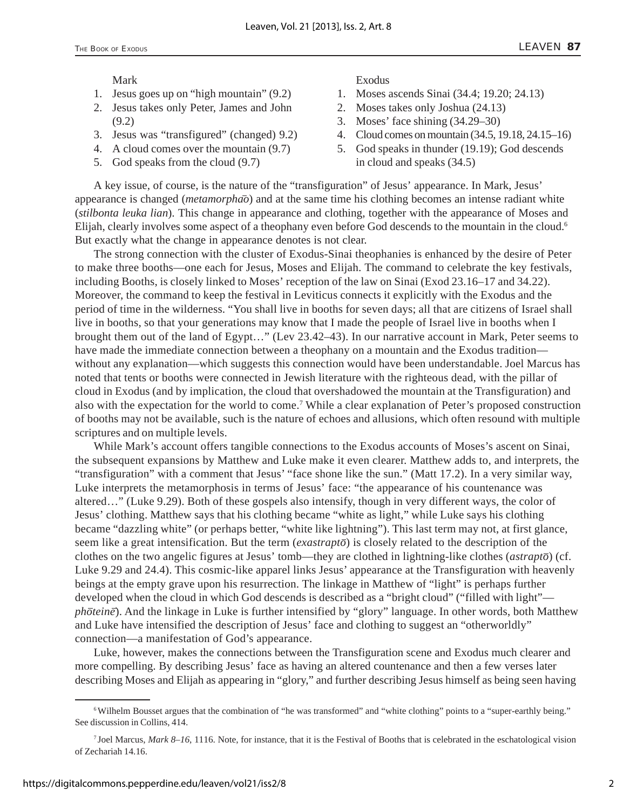#### Mark

- 1. Jesus goes up on "high mountain" (9.2)
- 2. Jesus takes only Peter, James and John (9.2)
- 3. Jesus was "transfigured" (changed) 9.2)
- 4. A cloud comes over the mountain (9.7)
- 5. God speaks from the cloud (9.7)

Exodus

- 1. Moses ascends Sinai (34.4; 19.20; 24.13)
- 2. Moses takes only Joshua (24.13)
- 3. Moses' face shining (34.29–30)
- 4. Cloud comes on mountain (34.5, 19.18, 24.15–16)
- 5. God speaks in thunder (19.19); God descends in cloud and speaks (34.5)

A key issue, of course, is the nature of the "transfiguration" of Jesus' appearance. In Mark, Jesus' appearance is changed (*metamorphao*) and at the same time his clothing becomes an intense radiant white (*stilbonta leuka lian*). This change in appearance and clothing, together with the appearance of Moses and Elijah, clearly involves some aspect of a theophany even before God descends to the mountain in the cloud.<sup>6</sup> But exactly what the change in appearance denotes is not clear.

The strong connection with the cluster of Exodus-Sinai theophanies is enhanced by the desire of Peter to make three booths—one each for Jesus, Moses and Elijah. The command to celebrate the key festivals, including Booths, is closely linked to Moses' reception of the law on Sinai (Exod 23.16–17 and 34.22). Moreover, the command to keep the festival in Leviticus connects it explicitly with the Exodus and the period of time in the wilderness. "You shall live in booths for seven days; all that are citizens of Israel shall live in booths, so that your generations may know that I made the people of Israel live in booths when I brought them out of the land of Egypt…" (Lev 23.42–43). In our narrative account in Mark, Peter seems to have made the immediate connection between a theophany on a mountain and the Exodus tradition without any explanation—which suggests this connection would have been understandable. Joel Marcus has noted that tents or booths were connected in Jewish literature with the righteous dead, with the pillar of cloud in Exodus (and by implication, the cloud that overshadowed the mountain at the Transfiguration) and also with the expectation for the world to come.<sup>7</sup> While a clear explanation of Peter's proposed construction of booths may not be available, such is the nature of echoes and allusions, which often resound with multiple scriptures and on multiple levels.

While Mark's account offers tangible connections to the Exodus accounts of Moses's ascent on Sinai, the subsequent expansions by Matthew and Luke make it even clearer. Matthew adds to, and interprets, the "transfiguration" with a comment that Jesus' "face shone like the sun." (Matt 17.2). In a very similar way, Luke interprets the metamorphosis in terms of Jesus' face: "the appearance of his countenance was altered…" (Luke 9.29). Both of these gospels also intensify, though in very different ways, the color of Jesus' clothing. Matthew says that his clothing became "white as light," while Luke says his clothing became "dazzling white" (or perhaps better, "white like lightning"). This last term may not, at first glance, seem like a great intensification. But the term (*exastrapto*) is closely related to the description of the clothes on the two angelic figures at Jesus' tomb—they are clothed in lightning-like clothes (*astrapto*) (cf. Luke 9.29 and 24.4). This cosmic-like apparel links Jesus' appearance at the Transfiguration with heavenly beings at the empty grave upon his resurrection. The linkage in Matthew of "light" is perhaps further developed when the cloud in which God descends is described as a "bright cloud" ("filled with light" *photeine*). And the linkage in Luke is further intensified by "glory" language. In other words, both Matthew and Luke have intensified the description of Jesus' face and clothing to suggest an "otherworldly" connection—a manifestation of God's appearance.

Luke, however, makes the connections between the Transfiguration scene and Exodus much clearer and more compelling. By describing Jesus' face as having an altered countenance and then a few verses later describing Moses and Elijah as appearing in "glory," and further describing Jesus himself as being seen having

<sup>&</sup>lt;sup>6</sup> Wilhelm Bousset argues that the combination of "he was transformed" and "white clothing" points to a "super-earthly being." See discussion in Collins, 414.

<sup>7</sup> Joel Marcus, *Mark 8–16*, 1116. Note, for instance, that it is the Festival of Booths that is celebrated in the eschatological vision of Zechariah 14.16.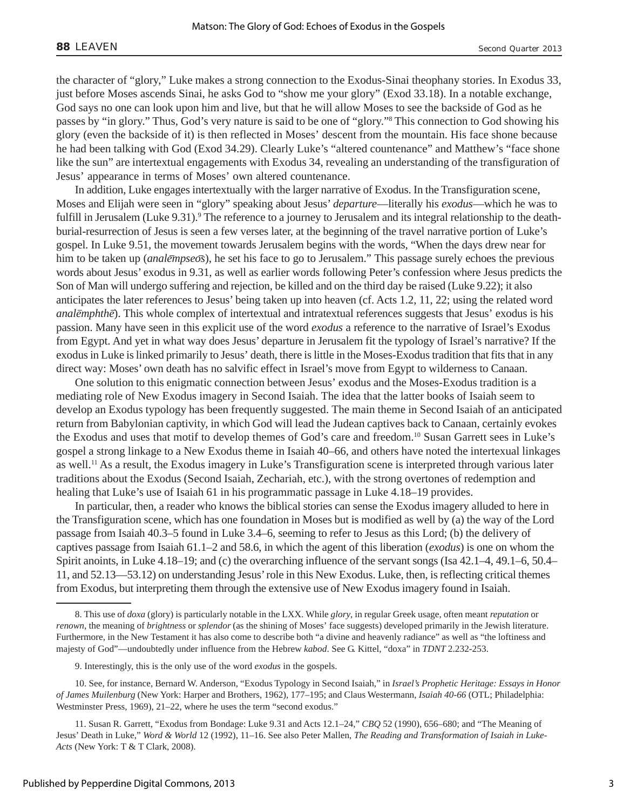the character of "glory," Luke makes a strong connection to the Exodus-Sinai theophany stories. In Exodus 33, just before Moses ascends Sinai, he asks God to "show me your glory" (Exod 33.18). In a notable exchange, God says no one can look upon him and live, but that he will allow Moses to see the backside of God as he passes by "in glory." Thus, God's very nature is said to be one of "glory."8 This connection to God showing his glory (even the backside of it) is then reflected in Moses' descent from the mountain. His face shone because he had been talking with God (Exod 34.29). Clearly Luke's "altered countenance" and Matthew's "face shone like the sun" are intertextual engagements with Exodus 34, revealing an understanding of the transfiguration of Jesus' appearance in terms of Moses' own altered countenance.

In addition, Luke engages intertextually with the larger narrative of Exodus. In the Transfiguration scene, Moses and Elijah were seen in "glory" speaking about Jesus' *departure*—literally his *exodus*—which he was to fulfill in Jerusalem (Luke 9.31).<sup>9</sup> The reference to a journey to Jerusalem and its integral relationship to the deathburial-resurrection of Jesus is seen a few verses later, at the beginning of the travel narrative portion of Luke's gospel. In Luke 9.51, the movement towards Jerusalem begins with the words, "When the days drew near for him to be taken up *(analempseos)*, he set his face to go to Jerusalem." This passage surely echoes the previous words about Jesus' exodus in 9.31, as well as earlier words following Peter's confession where Jesus predicts the Son of Man will undergo suffering and rejection, be killed and on the third day be raised (Luke 9.22); it also anticipates the later references to Jesus' being taken up into heaven (cf. Acts 1.2, 11, 22; using the related word *analemphthe*). This whole complex of intertextual and intratextual references suggests that Jesus' exodus is his passion. Many have seen in this explicit use of the word *exodus* a reference to the narrative of Israel's Exodus from Egypt. And yet in what way does Jesus' departure in Jerusalem fit the typology of Israel's narrative? If the exodus in Luke is linked primarily to Jesus' death, there is little in the Moses-Exodus tradition that fits that in any direct way: Moses' own death has no salvific effect in Israel's move from Egypt to wilderness to Canaan.

One solution to this enigmatic connection between Jesus' exodus and the Moses-Exodus tradition is a mediating role of New Exodus imagery in Second Isaiah. The idea that the latter books of Isaiah seem to develop an Exodus typology has been frequently suggested. The main theme in Second Isaiah of an anticipated return from Babylonian captivity, in which God will lead the Judean captives back to Canaan, certainly evokes the Exodus and uses that motif to develop themes of God's care and freedom.<sup>10</sup> Susan Garrett sees in Luke's gospel a strong linkage to a New Exodus theme in Isaiah 40–66, and others have noted the intertexual linkages as well.11 As a result, the Exodus imagery in Luke's Transfiguration scene is interpreted through various later traditions about the Exodus (Second Isaiah, Zechariah, etc.), with the strong overtones of redemption and healing that Luke's use of Isaiah 61 in his programmatic passage in Luke 4.18–19 provides.

In particular, then, a reader who knows the biblical stories can sense the Exodus imagery alluded to here in the Transfiguration scene, which has one foundation in Moses but is modified as well by (a) the way of the Lord passage from Isaiah 40.3–5 found in Luke 3.4–6, seeming to refer to Jesus as this Lord; (b) the delivery of captives passage from Isaiah 61.1–2 and 58.6, in which the agent of this liberation (*exodus*) is one on whom the Spirit anoints, in Luke 4.18–19; and (c) the overarching influence of the servant songs (Isa 42.1–4, 49.1–6, 50.4– 11, and 52.13—53.12) on understanding Jesus' role in this New Exodus. Luke, then, is reflecting critical themes from Exodus, but interpreting them through the extensive use of New Exodus imagery found in Isaiah.

<sup>8.</sup> This use of *doxa* (glory) is particularly notable in the LXX. While *glory*, in regular Greek usage, often meant *reputation* or *renown*, the meaning of *brightness* or *splendor* (as the shining of Moses' face suggests) developed primarily in the Jewish literature. Furthermore, in the New Testament it has also come to describe both "a divine and heavenly radiance" as well as "the loftiness and majesty of God"—undoubtedly under influence from the Hebrew *kabod*. See G. Kittel, "doxa" in *TDNT* 2.232-253.

<sup>9.</sup> Interestingly, this is the only use of the word *exodus* in the gospels.

<sup>10.</sup> See, for instance, Bernard W. Anderson, "Exodus Typology in Second Isaiah," in *Israel's Prophetic Heritage: Essays in Honor of James Muilenburg* (New York: Harper and Brothers, 1962), 177–195; and Claus Westermann, *Isaiah 40-66* (OTL; Philadelphia: Westminster Press, 1969), 21–22, where he uses the term "second exodus."

<sup>11.</sup> Susan R. Garrett, "Exodus from Bondage: Luke 9.31 and Acts 12.1–24," *CBQ* 52 (1990), 656–680; and "The Meaning of Jesus' Death in Luke," *Word & World* 12 (1992), 11–16. See also Peter Mallen, *The Reading and Transformation of Isaiah in Luke-Acts* (New York: T & T Clark, 2008).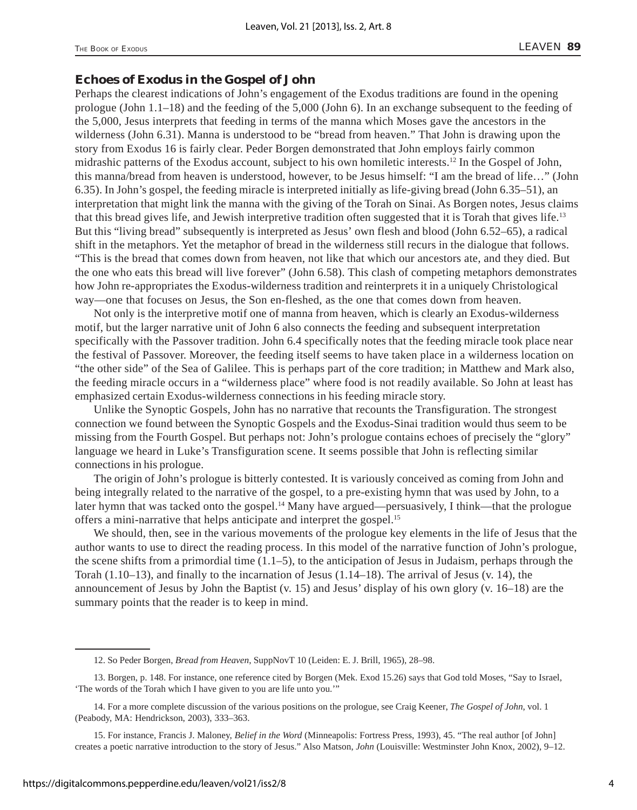#### **Echoes of Exodus in the Gospel of John**

Perhaps the clearest indications of John's engagement of the Exodus traditions are found in the opening prologue (John 1.1–18) and the feeding of the 5,000 (John 6). In an exchange subsequent to the feeding of the 5,000, Jesus interprets that feeding in terms of the manna which Moses gave the ancestors in the wilderness (John 6.31). Manna is understood to be "bread from heaven." That John is drawing upon the story from Exodus 16 is fairly clear. Peder Borgen demonstrated that John employs fairly common midrashic patterns of the Exodus account, subject to his own homiletic interests.12 In the Gospel of John, this manna/bread from heaven is understood, however, to be Jesus himself: "I am the bread of life…" (John 6.35). In John's gospel, the feeding miracle is interpreted initially as life-giving bread (John 6.35–51), an interpretation that might link the manna with the giving of the Torah on Sinai. As Borgen notes, Jesus claims that this bread gives life, and Jewish interpretive tradition often suggested that it is Torah that gives life.13 But this "living bread" subsequently is interpreted as Jesus' own flesh and blood (John 6.52–65), a radical shift in the metaphors. Yet the metaphor of bread in the wilderness still recurs in the dialogue that follows. "This is the bread that comes down from heaven, not like that which our ancestors ate, and they died. But the one who eats this bread will live forever" (John 6.58). This clash of competing metaphors demonstrates how John re-appropriates the Exodus-wilderness tradition and reinterprets it in a uniquely Christological way—one that focuses on Jesus, the Son en-fleshed, as the one that comes down from heaven.

Not only is the interpretive motif one of manna from heaven, which is clearly an Exodus-wilderness motif, but the larger narrative unit of John 6 also connects the feeding and subsequent interpretation specifically with the Passover tradition. John 6.4 specifically notes that the feeding miracle took place near the festival of Passover. Moreover, the feeding itself seems to have taken place in a wilderness location on "the other side" of the Sea of Galilee. This is perhaps part of the core tradition; in Matthew and Mark also, the feeding miracle occurs in a "wilderness place" where food is not readily available. So John at least has emphasized certain Exodus-wilderness connections in his feeding miracle story.

Unlike the Synoptic Gospels, John has no narrative that recounts the Transfiguration. The strongest connection we found between the Synoptic Gospels and the Exodus-Sinai tradition would thus seem to be missing from the Fourth Gospel. But perhaps not: John's prologue contains echoes of precisely the "glory" language we heard in Luke's Transfiguration scene. It seems possible that John is reflecting similar connections in his prologue.

The origin of John's prologue is bitterly contested. It is variously conceived as coming from John and being integrally related to the narrative of the gospel, to a pre-existing hymn that was used by John, to a later hymn that was tacked onto the gospel.<sup>14</sup> Many have argued—persuasively, I think—that the prologue offers a mini-narrative that helps anticipate and interpret the gospel.15

We should, then, see in the various movements of the prologue key elements in the life of Jesus that the author wants to use to direct the reading process. In this model of the narrative function of John's prologue, the scene shifts from a primordial time  $(1.1-5)$ , to the anticipation of Jesus in Judaism, perhaps through the Torah (1.10–13), and finally to the incarnation of Jesus (1.14–18). The arrival of Jesus (v. 14), the announcement of Jesus by John the Baptist (v. 15) and Jesus' display of his own glory (v. 16–18) are the summary points that the reader is to keep in mind.

<sup>12.</sup> So Peder Borgen, *Bread from Heaven*, SuppNovT 10 (Leiden: E. J. Brill, 1965), 28–98.

<sup>13.</sup> Borgen, p. 148. For instance, one reference cited by Borgen (Mek. Exod 15.26) says that God told Moses, "Say to Israel, 'The words of the Torah which I have given to you are life unto you.'"

<sup>14.</sup> For a more complete discussion of the various positions on the prologue, see Craig Keener, *The Gospel of John*, vol. 1 (Peabody, MA: Hendrickson, 2003), 333–363.

<sup>15.</sup> For instance, Francis J. Maloney, *Belief in the Word* (Minneapolis: Fortress Press, 1993), 45. "The real author [of John] creates a poetic narrative introduction to the story of Jesus." Also Matson, *John* (Louisville: Westminster John Knox, 2002), 9–12.